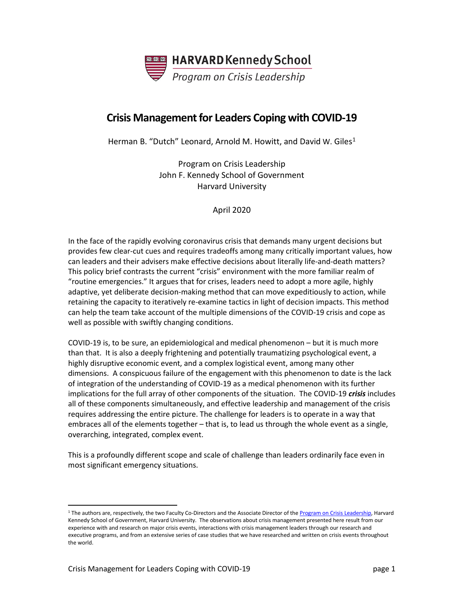

# **Crisis Management for Leaders Coping with COVID-19**

Herman B. "Dutch" Leonard, Arnold M. Howitt, and David W. Giles<sup>1</sup>

Program on Crisis Leadership John F. Kennedy School of Government Harvard University

April 2020

In the face of the rapidly evolving coronavirus crisis that demands many urgent decisions but provides few clear-cut cues and requires tradeoffs among many critically important values, how can leaders and their advisers make effective decisions about literally life-and-death matters? This policy brief contrasts the current "crisis" environment with the more familiar realm of "routine emergencies." It argues that for crises, leaders need to adopt a more agile, highly adaptive, yet deliberate decision-making method that can move expeditiously to action, while retaining the capacity to iteratively re-examine tactics in light of decision impacts. This method can help the team take account of the multiple dimensions of the COVID-19 crisis and cope as well as possible with swiftly changing conditions.

COVID-19 is, to be sure, an epidemiological and medical phenomenon – but it is much more than that. It is also a deeply frightening and potentially traumatizing psychological event, a highly disruptive economic event, and a complex logistical event, among many other dimensions. A conspicuous failure of the engagement with this phenomenon to date is the lack of integration of the understanding of COVID-19 as a medical phenomenon with its further implications for the full array of other components of the situation. The COVID-19 *crisis* includes all of these components simultaneously, and effective leadership and management of the crisis requires addressing the entire picture. The challenge for leaders is to operate in a way that embraces all of the elements together – that is, to lead us through the whole event as a single, overarching, integrated, complex event.

This is a profoundly different scope and scale of challenge than leaders ordinarily face even in most significant emergency situations.

<span id="page-0-0"></span><sup>&</sup>lt;sup>1</sup> The authors are, respectively, the two Faculty Co-Directors and the Associate Director of the [Program on Crisis Leadership,](https://www.hks.harvard.edu/centers/research-initiatives/crisisleadership) Harvard Kennedy School of Government, Harvard University. The observations about crisis management presented here result from our experience with and research on major crisis events, interactions with crisis management leaders through our research and executive programs, and from an extensive series of case studies that we have researched and written on crisis events throughout the world.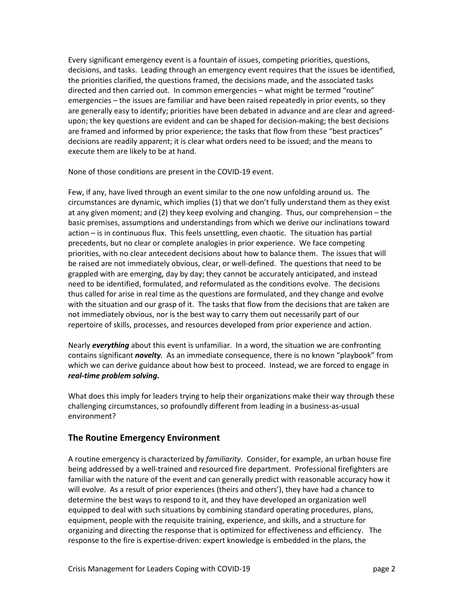Every significant emergency event is a fountain of issues, competing priorities, questions, decisions, and tasks. Leading through an emergency event requires that the issues be identified, the priorities clarified, the questions framed, the decisions made, and the associated tasks directed and then carried out. In common emergencies – what might be termed "routine" emergencies – the issues are familiar and have been raised repeatedly in prior events, so they are generally easy to identify; priorities have been debated in advance and are clear and agreedupon; the key questions are evident and can be shaped for decision-making; the best decisions are framed and informed by prior experience; the tasks that flow from these "best practices" decisions are readily apparent; it is clear what orders need to be issued; and the means to execute them are likely to be at hand.

None of those conditions are present in the COVID-19 event.

Few, if any, have lived through an event similar to the one now unfolding around us. The circumstances are dynamic, which implies (1) that we don't fully understand them as they exist at any given moment; and (2) they keep evolving and changing. Thus, our comprehension – the basic premises, assumptions and understandings from which we derive our inclinations toward action – is in continuous flux. This feels unsettling, even chaotic. The situation has partial precedents, but no clear or complete analogies in prior experience. We face competing priorities, with no clear antecedent decisions about how to balance them. The issues that will be raised are not immediately obvious, clear, or well-defined. The questions that need to be grappled with are emerging, day by day; they cannot be accurately anticipated, and instead need to be identified, formulated, and reformulated as the conditions evolve. The decisions thus called for arise in real time as the questions are formulated, and they change and evolve with the situation and our grasp of it. The tasks that flow from the decisions that are taken are not immediately obvious, nor is the best way to carry them out necessarily part of our repertoire of skills, processes, and resources developed from prior experience and action.

Nearly *everything* about this event is unfamiliar. In a word, the situation we are confronting contains significant *novelty*. As an immediate consequence, there is no known "playbook" from which we can derive guidance about how best to proceed. Instead, we are forced to engage in *real-time problem solving.*

What does this imply for leaders trying to help their organizations make their way through these challenging circumstances, so profoundly different from leading in a business-as-usual environment?

# **The Routine Emergency Environment**

A routine emergency is characterized by *familiarity*. Consider, for example, an urban house fire being addressed by a well-trained and resourced fire department. Professional firefighters are familiar with the nature of the event and can generally predict with reasonable accuracy how it will evolve. As a result of prior experiences (theirs and others'), they have had a chance to determine the best ways to respond to it, and they have developed an organization well equipped to deal with such situations by combining standard operating procedures, plans, equipment, people with the requisite training, experience, and skills, and a structure for organizing and directing the response that is optimized for effectiveness and efficiency. The response to the fire is expertise-driven: expert knowledge is embedded in the plans, the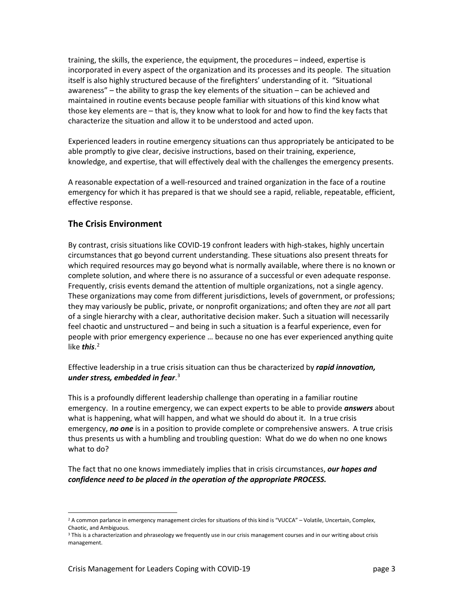training, the skills, the experience, the equipment, the procedures – indeed, expertise is incorporated in every aspect of the organization and its processes and its people. The situation itself is also highly structured because of the firefighters' understanding of it. "Situational awareness" – the ability to grasp the key elements of the situation – can be achieved and maintained in routine events because people familiar with situations of this kind know what those key elements are – that is, they know what to look for and how to find the key facts that characterize the situation and allow it to be understood and acted upon.

Experienced leaders in routine emergency situations can thus appropriately be anticipated to be able promptly to give clear, decisive instructions, based on their training, experience, knowledge, and expertise, that will effectively deal with the challenges the emergency presents.

A reasonable expectation of a well-resourced and trained organization in the face of a routine emergency for which it has prepared is that we should see a rapid, reliable, repeatable, efficient, effective response.

# **The Crisis Environment**

By contrast, crisis situations like COVID-19 confront leaders with high-stakes, highly uncertain circumstances that go beyond current understanding. These situations also present threats for which required resources may go beyond what is normally available, where there is no known or complete solution, and where there is no assurance of a successful or even adequate response. Frequently, crisis events demand the attention of multiple organizations, not a single agency. These organizations may come from different jurisdictions, levels of government, or professions; they may variously be public, private, or nonprofit organizations; and often they are *not* all part of a single hierarchy with a clear, authoritative decision maker. Such a situation will necessarily feel chaotic and unstructured – and being in such a situation is a fearful experience, even for people with prior emergency experience … because no one has ever experienced anything quite like *this*. [2](#page-2-0)

Effective leadership in a true crisis situation can thus be characterized by *rapid innovation, under stress, embedded in fear*. [3](#page-2-1)

This is a profoundly different leadership challenge than operating in a familiar routine emergency. In a routine emergency, we can expect experts to be able to provide *answers* about what is happening, what will happen, and what we should do about it. In a true crisis emergency, *no one* is in a position to provide complete or comprehensive answers. A true crisis thus presents us with a humbling and troubling question: What do we do when no one knows what to do?

The fact that no one knows immediately implies that in crisis circumstances, *our hopes and confidence need to be placed in the operation of the appropriate PROCESS.*

<span id="page-2-0"></span><sup>&</sup>lt;sup>2</sup> A common parlance in emergency management circles for situations of this kind is "VUCCA" – Volatile, Uncertain, Complex, Chaotic, and Ambiguous.

<span id="page-2-1"></span><sup>&</sup>lt;sup>3</sup> This is a characterization and phraseology we frequently use in our crisis management courses and in our writing about crisis management.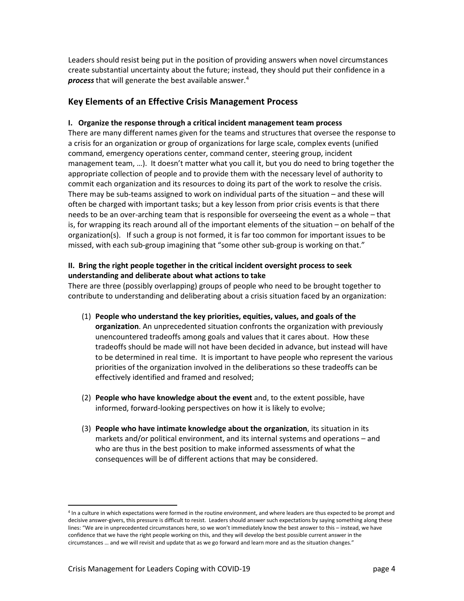Leaders should resist being put in the position of providing answers when novel circumstances create substantial uncertainty about the future; instead, they should put their confidence in a *process* that will generate the best available answer.[4](#page-3-0)

## **Key Elements of an Effective Crisis Management Process**

#### **I. Organize the response through a critical incident management team process**

There are many different names given for the teams and structures that oversee the response to a crisis for an organization or group of organizations for large scale, complex events (unified command, emergency operations center, command center, steering group, incident management team, …). It doesn't matter what you call it, but you do need to bring together the appropriate collection of people and to provide them with the necessary level of authority to commit each organization and its resources to doing its part of the work to resolve the crisis. There may be sub-teams assigned to work on individual parts of the situation – and these will often be charged with important tasks; but a key lesson from prior crisis events is that there needs to be an over-arching team that is responsible for overseeing the event as a whole – that is, for wrapping its reach around all of the important elements of the situation – on behalf of the organization(s). If such a group is not formed, it is far too common for important issues to be missed, with each sub-group imagining that "some other sub-group is working on that."

#### **II. Bring the right people together in the critical incident oversight process to seek understanding and deliberate about what actions to take**

There are three (possibly overlapping) groups of people who need to be brought together to contribute to understanding and deliberating about a crisis situation faced by an organization:

- (1) **People who understand the key priorities, equities, values, and goals of the organization**. An unprecedented situation confronts the organization with previously unencountered tradeoffs among goals and values that it cares about. How these tradeoffs should be made will not have been decided in advance, but instead will have to be determined in real time. It is important to have people who represent the various priorities of the organization involved in the deliberations so these tradeoffs can be effectively identified and framed and resolved;
- (2) **People who have knowledge about the event** and, to the extent possible, have informed, forward-looking perspectives on how it is likely to evolve;
- (3) **People who have intimate knowledge about the organization**, its situation in its markets and/or political environment, and its internal systems and operations – and who are thus in the best position to make informed assessments of what the consequences will be of different actions that may be considered.

<span id="page-3-0"></span><sup>&</sup>lt;sup>4</sup> In a culture in which expectations were formed in the routine environment, and where leaders are thus expected to be prompt and decisive answer-givers, this pressure is difficult to resist. Leaders should answer such expectations by saying something along these lines: "We are in unprecedented circumstances here, so we won't immediately know the best answer to this – instead, we have confidence that we have the right people working on this, and they will develop the best possible current answer in the circumstances … and we will revisit and update that as we go forward and learn more and as the situation changes."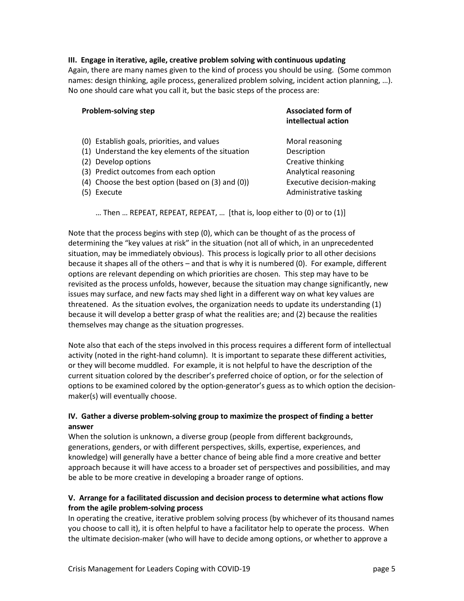#### **III. Engage in iterative, agile, creative problem solving with continuous updating**

Again, there are many names given to the kind of process you should be using. (Some common names: design thinking, agile process, generalized problem solving, incident action planning, …). No one should care what you call it, but the basic steps of the process are:

| <b>Problem-solving step</b>                       | <b>Associated form of</b><br>intellectual action |
|---------------------------------------------------|--------------------------------------------------|
| (0) Establish goals, priorities, and values       | Moral reasoning                                  |
| (1) Understand the key elements of the situation  | Description                                      |
| (2) Develop options                               | Creative thinking                                |
| (3) Predict outcomes from each option             | Analytical reasoning                             |
| (4) Choose the best option (based on (3) and (0)) | <b>Executive decision-making</b>                 |
| Execute<br>(5)                                    | Administrative tasking                           |

… Then … REPEAT, REPEAT, REPEAT, … [that is, loop either to (0) or to (1)]

Note that the process begins with step (0), which can be thought of as the process of determining the "key values at risk" in the situation (not all of which, in an unprecedented situation, may be immediately obvious). This process is logically prior to all other decisions because it shapes all of the others – and that is why it is numbered (0). For example, different options are relevant depending on which priorities are chosen. This step may have to be revisited as the process unfolds, however, because the situation may change significantly, new issues may surface, and new facts may shed light in a different way on what key values are threatened. As the situation evolves, the organization needs to update its understanding (1) because it will develop a better grasp of what the realities are; and (2) because the realities themselves may change as the situation progresses.

Note also that each of the steps involved in this process requires a different form of intellectual activity (noted in the right-hand column). It is important to separate these different activities, or they will become muddled. For example, it is not helpful to have the description of the current situation colored by the describer's preferred choice of option, or for the selection of options to be examined colored by the option-generator's guess as to which option the decisionmaker(s) will eventually choose.

#### **IV. Gather a diverse problem-solving group to maximize the prospect of finding a better answer**

When the solution is unknown, a diverse group (people from different backgrounds, generations, genders, or with different perspectives, skills, expertise, experiences, and knowledge) will generally have a better chance of being able find a more creative and better approach because it will have access to a broader set of perspectives and possibilities, and may be able to be more creative in developing a broader range of options.

## **V. Arrange for a facilitated discussion and decision process to determine what actions flow from the agile problem-solving process**

In operating the creative, iterative problem solving process (by whichever of its thousand names you choose to call it), it is often helpful to have a facilitator help to operate the process. When the ultimate decision-maker (who will have to decide among options, or whether to approve a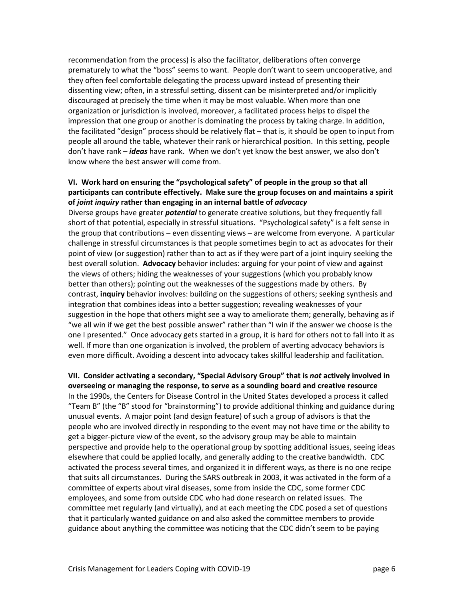recommendation from the process) is also the facilitator, deliberations often converge prematurely to what the "boss" seems to want. People don't want to seem uncooperative, and they often feel comfortable delegating the process upward instead of presenting their dissenting view; often, in a stressful setting, dissent can be misinterpreted and/or implicitly discouraged at precisely the time when it may be most valuable. When more than one organization or jurisdiction is involved, moreover, a facilitated process helps to dispel the impression that one group or another is dominating the process by taking charge. In addition, the facilitated "design" process should be relatively flat – that is, it should be open to input from people all around the table, whatever their rank or hierarchical position. In this setting, people don't have rank – *ideas* have rank. When we don't yet know the best answer, we also don't know where the best answer will come from.

## **VI. Work hard on ensuring the "psychological safety" of people in the group so that all participants can contribute effectively. Make sure the group focuses on and maintains a spirit of** *joint inquiry* **rather than engaging in an internal battle of** *advocacy*

Diverse groups have greater *potential* to generate creative solutions, but they frequently fall short of that potential, especially in stressful situations. "Psychological safety" is a felt sense in the group that contributions – even dissenting views – are welcome from everyone. A particular challenge in stressful circumstances is that people sometimes begin to act as advocates for their point of view (or suggestion) rather than to act as if they were part of a joint inquiry seeking the best overall solution. **Advocacy** behavior includes: arguing for your point of view and against the views of others; hiding the weaknesses of your suggestions (which you probably know better than others); pointing out the weaknesses of the suggestions made by others. By contrast, **inquiry** behavior involves: building on the suggestions of others; seeking synthesis and integration that combines ideas into a better suggestion; revealing weaknesses of your suggestion in the hope that others might see a way to ameliorate them; generally, behaving as if "we all win if we get the best possible answer" rather than "I win if the answer we choose is the one I presented." Once advocacy gets started in a group, it is hard for others not to fall into it as well. If more than one organization is involved, the problem of averting advocacy behaviors is even more difficult. Avoiding a descent into advocacy takes skillful leadership and facilitation.

## **VII. Consider activating a secondary, "Special Advisory Group" that is** *not* **actively involved in overseeing or managing the response, to serve as a sounding board and creative resource** In the 1990s, the Centers for Disease Control in the United States developed a process it called "Team B" (the "B" stood for "brainstorming") to provide additional thinking and guidance during unusual events. A major point (and design feature) of such a group of advisors is that the people who are involved directly in responding to the event may not have time or the ability to get a bigger-picture view of the event, so the advisory group may be able to maintain perspective and provide help to the operational group by spotting additional issues, seeing ideas elsewhere that could be applied locally, and generally adding to the creative bandwidth. CDC activated the process several times, and organized it in different ways, as there is no one recipe that suits all circumstances. During the SARS outbreak in 2003, it was activated in the form of a committee of experts about viral diseases, some from inside the CDC, some former CDC employees, and some from outside CDC who had done research on related issues. The committee met regularly (and virtually), and at each meeting the CDC posed a set of questions that it particularly wanted guidance on and also asked the committee members to provide guidance about anything the committee was noticing that the CDC didn't seem to be paying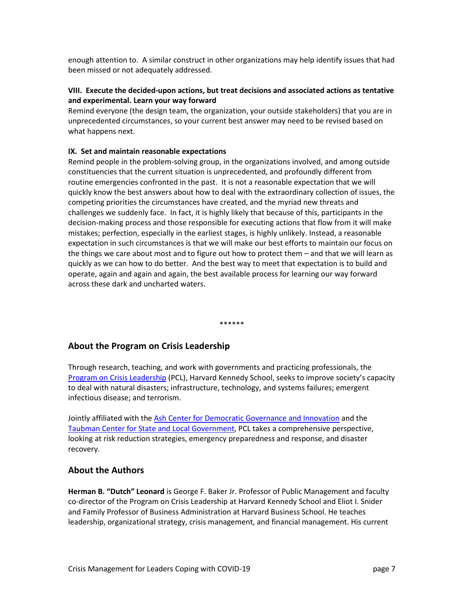enough attention to. A similar construct in other organizations may help identify issues that had been missed or not adequately addressed.

#### **VIII. Execute the decided-upon actions, but treat decisions and associated actions as tentative and experimental. Learn your way forward**

Remind everyone (the design team, the organization, your outside stakeholders) that you are in unprecedented circumstances, so your current best answer may need to be revised based on what happens next.

#### **IX. Set and maintain reasonable expectations**

Remind people in the problem-solving group, in the organizations involved, and among outside constituencies that the current situation is unprecedented, and profoundly different from routine emergencies confronted in the past. It is not a reasonable expectation that we will quickly know the best answers about how to deal with the extraordinary collection of issues, the competing priorities the circumstances have created, and the myriad new threats and challenges we suddenly face. In fact, it is highly likely that because of this, participants in the decision-making process and those responsible for executing actions that flow from it will make mistakes; perfection, especially in the earliest stages, is highly unlikely. Instead, a reasonable expectation in such circumstances is that we will make our best efforts to maintain our focus on the things we care about most and to figure out how to protect them – and that we will learn as quickly as we can how to do better. And the best way to meet that expectation is to build and operate, again and again and again, the best available process for learning our way forward across these dark and uncharted waters.

\*\*\*\*\*\*

# **About the Program on Crisis Leadership**

Through research, teaching, and work with governments and practicing professionals, the [Program on Crisis Leadership](https://www.hks.harvard.edu/centers/research-initiatives/crisisleadership) (PCL), Harvard Kennedy School, seeks to improve society's capacity to deal with natural disasters; infrastructure, technology, and systems failures; emergent infectious disease; and terrorism.

Jointly affiliated with the [Ash Center for Democratic Governance and Innovation](https://ash.harvard.edu/) and the [Taubman Center for State and Local Government,](https://www.hks.harvard.edu/centers/taubman) PCL takes a comprehensive perspective, looking at risk reduction strategies, emergency preparedness and response, and disaster recovery.

#### **About the Authors**

**Herman B. "Dutch" Leonard** is George F. Baker Jr. Professor of Public Management and faculty co-director of the Program on Crisis Leadership at Harvard Kennedy School and Eliot I. Snider and Family Professor of Business Administration at Harvard Business School. He teaches leadership, organizational strategy, crisis management, and financial management. His current